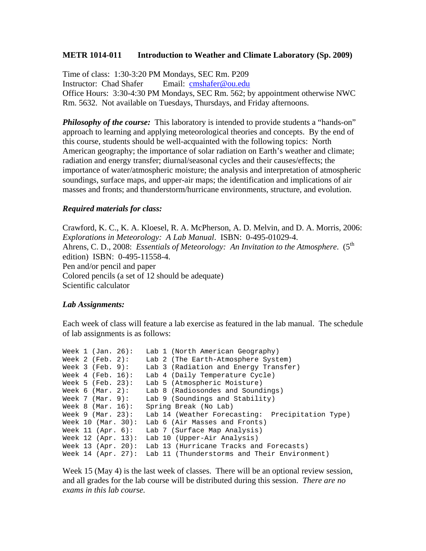## **METR 1014-011 Introduction to Weather and Climate Laboratory (Sp. 2009)**

Time of class: 1:30-3:20 PM Mondays, SEC Rm. P209 Instructor: Chad Shafer Email: cmshafer@ou.edu Office Hours: 3:30-4:30 PM Mondays, SEC Rm. 562; by appointment otherwise NWC Rm. 5632. Not available on Tuesdays, Thursdays, and Friday afternoons.

**Philosophy of the course:** This laboratory is intended to provide students a "hands-on" approach to learning and applying meteorological theories and concepts. By the end of this course, students should be well-acquainted with the following topics: North American geography; the importance of solar radiation on Earth's weather and climate; radiation and energy transfer; diurnal/seasonal cycles and their causes/effects; the importance of water/atmospheric moisture; the analysis and interpretation of atmospheric soundings, surface maps, and upper-air maps; the identification and implications of air masses and fronts; and thunderstorm/hurricane environments, structure, and evolution.

## *Required materials for class:*

Crawford, K. C., K. A. Kloesel, R. A. McPherson, A. D. Melvin, and D. A. Morris, 2006: *Explorations in Meteorology: A Lab Manual*. ISBN: 0-495-01029-4. Ahrens, C. D., 2008: *Essentials of Meteorology: An Invitation to the Atmosphere.* (5<sup>th</sup>) edition) ISBN: 0-495-11558-4. Pen and/or pencil and paper Colored pencils (a set of 12 should be adequate) Scientific calculator

## *Lab Assignments:*

Each week of class will feature a lab exercise as featured in the lab manual. The schedule of lab assignments is as follows:

```
Week 1 (Jan. 26): Lab 1 (North American Geography)
Week 2 (Feb. 2): Lab 2 (The Earth-Atmosphere System) 
Week 3 (Feb. 9): Lab 3 (Radiation and Energy Transfer) 
Week 4 (Feb. 16): Lab 4 (Daily Temperature Cycle) 
Week 5 (Feb. 23): Lab 5 (Atmospheric Moisture)
Week 6 (Mar. 2): Lab 8 (Radiosondes and Soundings) 
Week 7 (Mar. 9): Lab 9 (Soundings and Stability) 
Week 8 (Mar. 16): Example Break (No Lab)
Week 9 (Mar. 23): Lab 14 (Weather Forecasting: Precipitation Type)
Week 10 (Mar. 30): Lab 6 (Air Masses and Fronts) 
Week 11 (Apr. 6): Lab 7 (Surface Map Analysis)
Week 12 (Apr. 13): Lab 10 (Upper-Air Analysis) 
Week 13 (Apr. 20): Lab 13 (Hurricane Tracks and Forecasts) 
Week 14 (Apr. 27): Lab 11 (Thunderstorms and Their Environment)
```
Week 15 (May 4) is the last week of classes. There will be an optional review session, and all grades for the lab course will be distributed during this session. *There are no exams in this lab course.*